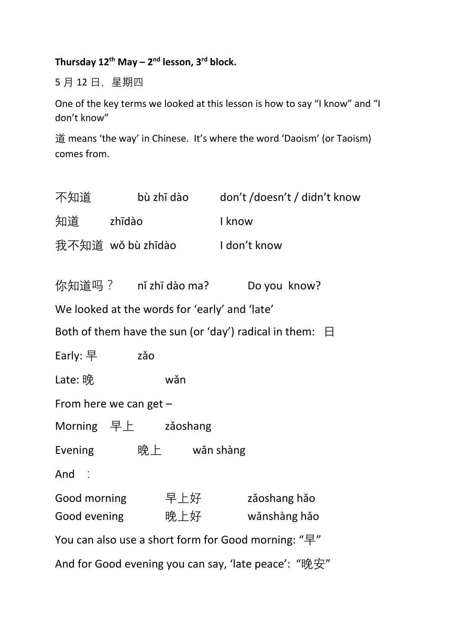## **Thursday 12th May – 2 nd lesson, 3rd block.**

5 月 12 日,星期四

One of the key terms we looked at this lesson is how to say "I know" and "I don't know"

道 means 'the way' in Chinese. It's where the word 'Daoism' (or Taoism) comes from.

|                                                              |                                            |     | 不知道     bù zhī dào    don't /doesn't / didn't know |  |
|--------------------------------------------------------------|--------------------------------------------|-----|----------------------------------------------------|--|
| 知道   zhīdào                                                  |                                            |     | I know                                             |  |
|                                                              |                                            |     | 我不知道   wǒ bù zhīdào                I don't know    |  |
|                                                              |                                            |     | 你知道吗?  nǐ zhī dào ma?    Do you know?              |  |
| We looked at the words for 'early' and 'late'                |                                            |     |                                                    |  |
| Both of them have the sun (or 'day') radical in them: $\Box$ |                                            |     |                                                    |  |
| Early: 早 $z$ ǎo                                              |                                            |     |                                                    |  |
| Late: 晚                                                      |                                            | wǎn |                                                    |  |
| From here we can get $-$                                     |                                            |     |                                                    |  |
| Morning 早上 zǎoshang                                          |                                            |     |                                                    |  |
|                                                              | Evening $\mathfrak{g}$ <b>晚上</b> wǎn shàng |     |                                                    |  |
| And $\therefore$                                             |                                            |     |                                                    |  |
|                                                              |                                            |     |                                                    |  |
|                                                              |                                            |     |                                                    |  |
| You can also use a short form for Good morning: "早"          |                                            |     |                                                    |  |
| And for Good evening you can say, 'late peace': "晚安"         |                                            |     |                                                    |  |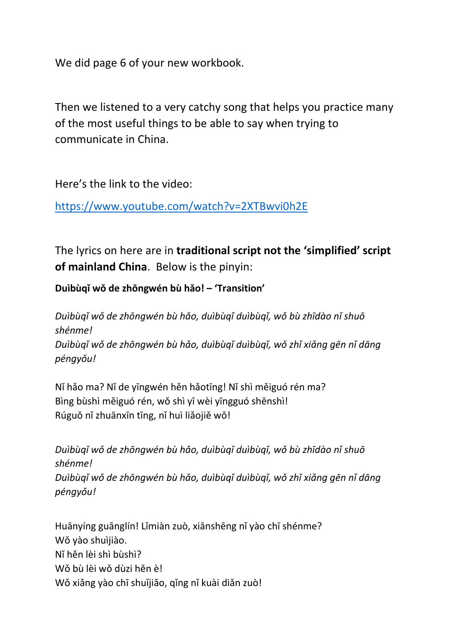We did page 6 of your new workbook.

Then we listened to a very catchy song that helps you practice many of the most useful things to be able to say when trying to communicate in China.

Here's the link to the video:

<https://www.youtube.com/watch?v=2XTBwvi0h2E>

The lyrics on here are in **traditional script not the 'simplified' script of mainland China**. Below is the pinyin:

**Duìbùqǐ wǒ de zhōngwén bù hǎo! – 'Transition'**

*Duìbùqǐ wǒ de zhōngwén bù hǎo, duìbùqǐ duìbùqǐ, wǒ bù zhīdào nǐ shuō shénme! Duìbùqǐ wǒ de zhōngwén bù hǎo, duìbùqǐ duìbùqǐ, wǒ zhǐ xiǎng gēn nǐ dāng péngyǒu!*

Nǐ hǎo ma? Nǐ de yīngwén hěn hǎotīng! Nǐ shì měiguó rén ma? Bìng bùshì měiguó rén, wǒ shì yī wèi yīngguó shēnshì! Rúguǒ nǐ zhuānxīn tīng, nǐ huì liǎojiě wǒ!

*Duìbùqǐ wǒ de zhōngwén bù hǎo, duìbùqǐ duìbùqǐ, wǒ bù zhīdào nǐ shuō shénme! Duìbùqǐ wǒ de zhōngwén bù hǎo, duìbùqǐ duìbùqǐ, wǒ zhǐ xiǎng gēn nǐ dāng péngyǒu!*

Huānyíng guānglín! Lǐmiàn zuò, xiānshēng nǐ yào chī shénme? Wǒ yào shuìjiào. Nǐ hěn lèi shì bùshì? Wǒ bù lèi wǒ dùzi hěn è! Wǒ xiǎng yào chī shuǐjiǎo, qǐng nǐ kuài diǎn zuò!